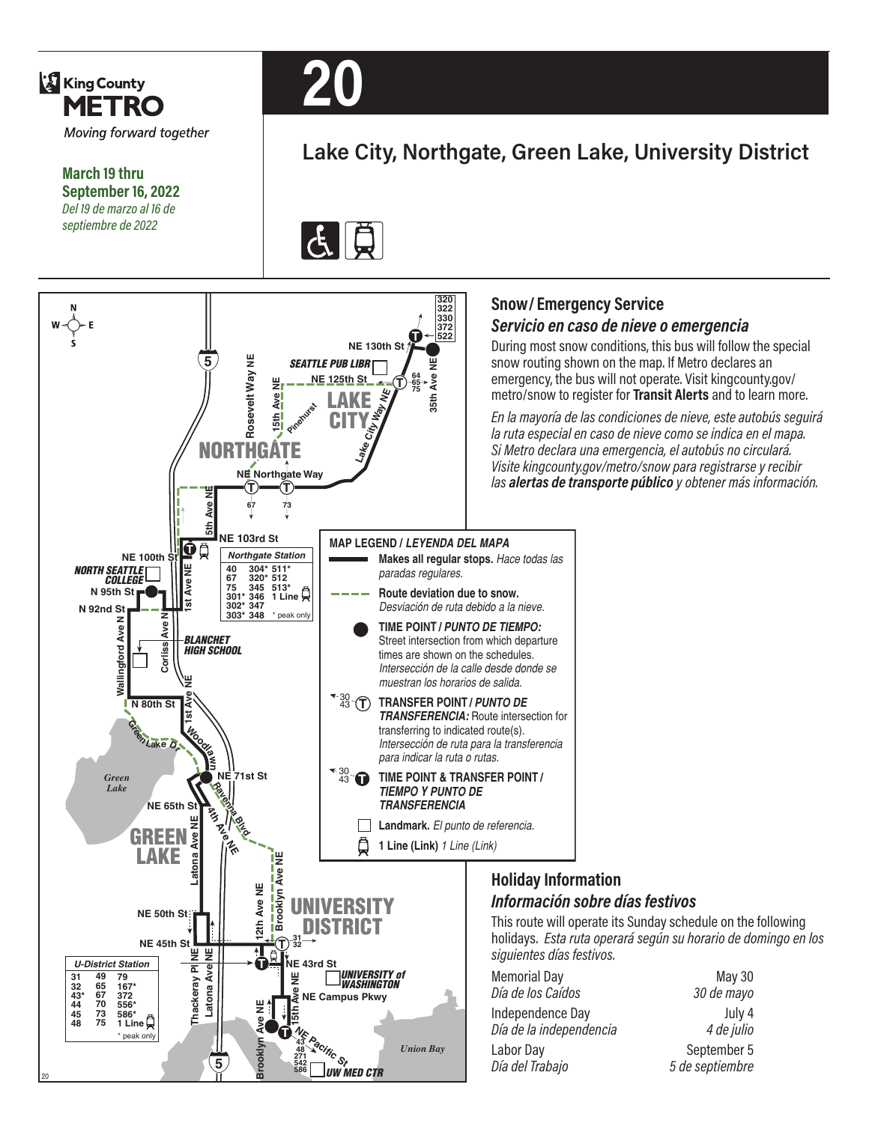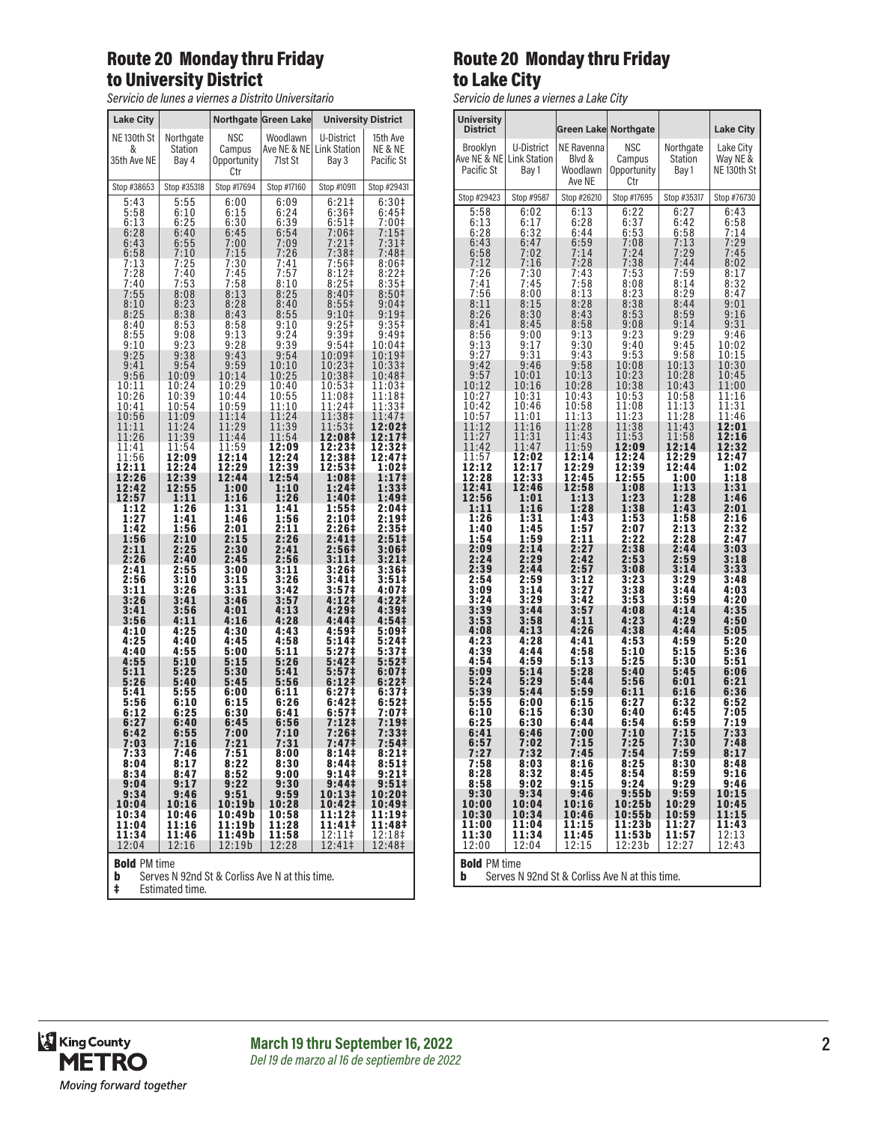## Route 20 Monday thru Friday to University District

*Servicio de lunes a viernes a Distrito Universitario*

| <b>Lake City</b>                                    |                         |                              | Northgate Green Lake | <b>University District</b>         |                       |
|-----------------------------------------------------|-------------------------|------------------------------|----------------------|------------------------------------|-----------------------|
| NE <sub>130th</sub> St                              | Northgate               | NSC                          | Woodlawn             | U-District                         | 15th Ave              |
| &<br>35th Ave NE                                    | <b>Station</b><br>Bay 4 | Campus<br>Opportunity<br>Ctr | 71st St              | Ave NE & NE  Link Station<br>Bay 3 | NE & NE<br>Pacific St |
| Stop #38653                                         | Stop #35318             | Stop #17694                  | Stop #17160          | Stop #10911                        | Stop #29431           |
| 5:43                                                | 5:55                    | 6:00                         | 6:09                 | 6:21                               | 6:30‡                 |
| 5:58                                                | 6:10                    | 6:15                         | 6:24                 | 6:36‡                              | 6:45‡                 |
| 6:13                                                | 6:25                    | 6:30                         | 6:39                 | $6:51\ddagger$                     | 7:001                 |
| 6:28                                                | 6:40                    | 6:45                         | 6:54                 | 7:06‡                              | 7:15‡                 |
| 6:43                                                | $6:55$<br>$7:10$        | 7:00                         | 7:09                 | 7:21‡<br>7:38‡                     | 7:31#                 |
| 6:58<br>7:13                                        | 7:25                    | 7:15<br>7:30                 | 7:26<br>7:41         | 7:56‡                              | 7:48‡<br>8:06‡        |
| 7:28                                                | 7:40<br>7:53            | 7:45                         | 7:57                 | $8:12$ ‡                           | 8:221                 |
| 7:40                                                | 8:08                    | 7:58                         | 8:10                 | $8:25+$                            | 8:35#                 |
| 7:55                                                |                         | 8:13                         | 8:25                 | 8:40 <sup>‡</sup>                  | 8:50‡                 |
| 8:10                                                | 8:23                    | 8:28                         | 8:40                 | $8:55\ddagger$                     | 9:04                  |
| 8:25                                                | 8:38                    | 8:43                         | 8:55                 | 9:10 <sup>‡</sup>                  | 9:19‡                 |
| 8:40                                                | 8:53                    | 8:58                         | 9:10                 | $9:25+$                            | $9:35+$               |
| 8:55                                                | 9:08                    | 9:13                         | 9:24                 | 9:39#                              | 9:49‡                 |
| 9:10                                                | $9:23$<br>$9:38$        | 9:28                         | 9:39                 | 9:54‡                              | 10:04‡                |
| 9:25                                                | 9:54                    | 9:43                         | 9:54                 | 10:09‡                             | 10:19‡                |
| 9:41                                                |                         | 9:59                         | 10:10                | 10:23‡                             | 10:33‡                |
| 9:56                                                | 10:09                   | 10:14                        | 10:25<br>10:40       | 10:38‡                             | 10:48‡<br>11:03‡      |
| 10:11<br>10:26                                      | 10:24<br>10:39          | 10:29<br>10:44               | 10:55                | 10:53‡<br>11:08‡                   | 11:18‡                |
| 10:41                                               | 10:54                   | 10:59                        | 11:10                | 11:24‡                             | 11:33‡                |
| 10:56                                               | 11:09                   | 11:14                        | 11:24                | 11:38‡                             | 11:47‡                |
| 11:11<br>11:26                                      | 11:24                   | 11:29                        | 11:39<br>11:54       | 11:53‡<br>12:08‡                   | 12:02‡<br>12:17‡      |
| 11:41                                               | 11:39<br>11:54          | 11:44<br>11:59               | 12:09                | 12:23‡                             | 12:32‡                |
| 11:56                                               | 12:09                   | 12:14                        | 12:24                | 12:38‡                             | 12:47‡                |
| 12:11                                               | 12:24                   | 12:29                        | 12:39                | 12:53‡                             | 1:02‡                 |
| 12:26                                               | 12:39                   | 12:44                        | 12:54                | 1:08‡                              | 1:17 <sup>‡</sup>     |
| 12:42                                               | 12:55                   | 1:00                         | 1:10                 | 1:24‡                              | $1:33+$               |
| 12:57                                               | 1:11                    | 1:16                         | 1:26                 | 1:40‡                              | 1:49‡                 |
| 1:12                                                | 1:26                    | 1:31                         | 1:41                 | 1:55‡                              | 2:04‡                 |
| 1:27                                                | 1:41                    | 1:46                         | 1:56                 | 2:10‡                              | 2:19‡                 |
| 1:42                                                | 1:56                    | 2:01                         | 2:11                 | 2:26‡                              | 2:35‡                 |
| 1:56                                                | 2:10                    | 2:15                         | 2:26                 | $2:41 \;$                          | $2:51 \dagger$        |
| 2:11                                                | 2:25                    | 2:30                         | 2:41                 | 2:56‡                              | 3:06‡                 |
| 2:26                                                | 2:40                    | 2:45                         | 2:56                 | 3:11‡                              | $3:21 \;$             |
| 2:41                                                | 2:55                    | 3:00                         | 3:11                 | 3:26‡                              | 3:36‡                 |
| 2:56                                                | 3:10                    | 3:15                         | 3:26                 | 3:41‡                              | 3:51                  |
| 3:11                                                | 3:26                    | 3:31                         | 3:42                 | 3:57 <sup>‡</sup>                  | 4:07‡                 |
| $3:26$<br>$3:41$                                    | 3:41                    | 3:46                         | 3:57                 | 4:12‡                              | 4:22‡<br>4:39‡        |
| 3:56                                                | 3:56<br>4:11            | 4:01<br>4:16                 | 4:13<br>4:28         | 4:29‡<br>4:44‡                     | 4:54‡                 |
| 4:10                                                | 4:25                    | 4:30                         | 4:43                 | 4:59‡                              | 5:09‡                 |
| 4:25                                                | 4:40                    | 4:45                         | 4:58                 | 5:14‡                              | 5:24‡                 |
| 4:40                                                | 4:55                    | 5:00                         | 5:11                 | 5:27‡                              | 5:37‡                 |
| 4:55                                                | 5:10                    | 5:15                         | 5:26                 | 5:42‡                              | 5:52 <sup>‡</sup>     |
| 5:11                                                | 5:25                    | 5:30                         | 5:41                 | 5:57‡                              | 6:07‡                 |
| 5:26                                                | 5:40                    | 5:45                         | 5:56                 | 6:12 <sup>‡</sup>                  | 6:22‡                 |
| 5:41                                                | 5:55                    | 6:00                         | 6:11                 | 6:27‡                              | 6:37‡                 |
| 5:56                                                | 6:10                    | 6:15                         | 6:26                 | 6:42‡                              | 6:52‡                 |
| 6:12                                                | 6:25                    | 6:30                         | 6:41                 | 6:57‡                              | 7:07‡                 |
| 6:27                                                | 6:40                    | 6:45                         | 6:56                 | 7:12‡                              | 7:19‡                 |
| 6:42                                                | 6:55                    | 7:00                         | 7:10                 | $7:26+$                            | 7:33‡                 |
| 7:03                                                | 7:16                    | 7:21                         | 7:31                 | 7:47 <sup>‡</sup>                  | 7:54‡                 |
| 7:33                                                | 7:46                    | 7:51                         | 8:00                 | 8:14 <sup>‡</sup>                  | 8:21‡                 |
| 8:04                                                | 8:17                    | 8:22                         | 8:30                 | 8:44‡                              | 8:51‡                 |
| 8:34                                                | 8:47                    | 8:52                         | 9:00                 | 9:14‡                              | 9:21‡                 |
| 9:04                                                | 9:17                    | 9:22                         | 9:30                 | 9:44 <sup>‡</sup>                  | 9:51‡                 |
| 9:34                                                | 9:46                    | 9:51                         | 9:59                 | 10:13‡                             | 10:20‡                |
| 10:04                                               | 10:16                   | 10:19b                       | 10:28                | 10:42‡                             | 10:49‡                |
| 10:34                                               | 10:46                   | 10:49b                       | 10:58                | 11:12‡                             | 11:19‡                |
| 11:04                                               | 11:16                   | 11:19b                       | 11:28                | 11:41‡                             | 11:48‡                |
| 11:34                                               | 11:46                   | 11:49b                       | 11:58                | 12:11‡                             | 12:18‡                |
| 12:04                                               | 12:16                   | 12:19b                       | 12:28                | 12:41‡                             | 12:48‡                |
| <b>Bold PM time</b>                                 |                         |                              |                      |                                    |                       |
| Serves N 92nd St & Corliss Ave N at this time.<br>b |                         |                              |                      |                                    |                       |

‡ Estimated time.

### Route 20 Monday thru Friday to Lake City

*Servicio de lunes a viernes a Lake City*

| <b>University</b><br><b>District</b>               |                                  | Green Lake Northgate                       |                                     |                                  | <b>Lake City</b>                     |
|----------------------------------------------------|----------------------------------|--------------------------------------------|-------------------------------------|----------------------------------|--------------------------------------|
| Brooklyn<br>Ave NE & NE Link Station<br>Pacific St | U-District<br>Bay 1              | NE Ravenna<br>Blvd &<br>Woodlawn<br>Ave NE | NSC<br>Campus<br>Opportunity<br>Ctr | Northgate<br>Station<br>Bay 1    | Lake City<br>Way NE &<br>NE 130th St |
| Stop #29423                                        | Stop #9587                       | Stop #26210                                | Stop #17695                         | Stop #35317                      | Stop #76730                          |
| 5:58<br>6:13<br>6:28                               | 6:02<br>6:17<br>6:32             | 6:13<br>6:28<br>6:44                       | 6:22<br>6:37<br>6:53                | 6:27<br>6:42<br>6:58             | 6:43<br>6:58<br>7:14                 |
| 6:43                                               | 6:47                             | 6:59                                       | 7:08                                | 7:13                             | 7:29                                 |
| 6:58                                               | 7:02                             | 7:14                                       | 7:24                                | 7:29                             | 7:45                                 |
| 7:12                                               | 7:16                             | 7:28                                       | 7:38                                | 7:44                             | 8:02                                 |
| 7:26                                               | 7:30                             | 7:43                                       | 7:53                                | 7:59                             | 8:17                                 |
| 7:41                                               | 7:45                             | 7:58                                       | 8:08                                | 8:14                             | 8:32                                 |
| 7:56                                               | 8:00                             | 8:13                                       | 8:23                                | 8:29                             | 8:47                                 |
| 8:11                                               | 8:15                             | 8:28                                       | 8:38                                | 8:44                             | 9:01                                 |
| 8:26                                               | 8:30                             | 8:43                                       | 8:53                                | 8:59                             | 9:16                                 |
| 8:41                                               | 8:45                             | 8:58                                       | 9:08                                | 9:14                             | 9:31                                 |
| 8:56                                               | 9:00                             | 9:13                                       | 9:23                                | 9:29                             | 9:46                                 |
| 9:13                                               | 9:17                             | 9:30                                       | 9:40                                | 9:45                             | 10:02                                |
| 9:27                                               | 9:31                             | 9:43                                       | 9:53                                | 9:58                             | 10:15                                |
| 9:42                                               | 9:46                             | 9:58                                       | 10:08                               | 10:13                            | 10:30                                |
| $9:57$<br>10:12<br>10:27                           | 10:01<br>10:16<br>10:31          | 10:13<br>10:28<br>10:43                    | 10:23<br>10:38<br>10:53             | 10:28<br>10:43<br>10:58          | 10:45<br>11:00<br>11:16              |
| 10:42<br>10:57<br>11:12<br>11:27                   | 10:46<br>11:01<br>11:16          | 10:58<br>11:13<br>11:28                    | 11:08<br>11:23<br>11:38             | 11:13<br>11:28<br>11:43          | 11:31<br>11:46<br>12:01<br>12:16     |
| 11:42<br>11:57<br>12:12                            | 11:31<br>11:47<br>12:02<br>12:17 | 11:43<br>11:59<br>12:14<br>12:29           | 11:53<br>12:09<br>12:24<br>12:39    | 11:58<br>12:14<br>12:29<br>12:44 | 12:32<br>12:47<br>1:02               |
| 12:28                                              | 12:33                            | 12:45                                      | 12:55                               | 1:00                             | 1:18                                 |
| 12:41                                              | 12:46                            | 12:58                                      | 1:08                                | 1:13                             | 1:31                                 |
| 12:56                                              | 1:01                             | 1:13                                       | 1:23                                | 1:28                             | 1:46                                 |
| 1:11                                               | 1:16                             | 1:28                                       | 1:38                                | 1:43                             | 2:01                                 |
| 1:26                                               | 1:31                             | 1:43                                       | 1:53                                | 1:58                             | 2:16                                 |
| 1:40                                               | 1:45                             | 1:57                                       | 2:07                                | 2:13                             | 2:32                                 |
| 1:54                                               | 1:59                             | 2:11                                       | 2:22                                | 2:28                             | 2:47                                 |
| 2:09<br>2:24<br>2:39                               | 2:14<br>2:29<br>2:44             | 2:27<br>2:42<br>2:57                       | 2:38<br>2:53<br>3:08                | 2:44<br>2:59<br>3:14             | 3:03<br>$3:18$<br>$3:33$             |
| 2:54                                               | 2:59                             | 3:12                                       | 3:23                                | 3:29                             | 3:48                                 |
| 3:09                                               | 3:14                             | 3:27                                       | 3:38                                | 3:44                             | 4:03                                 |
| 3:24                                               | 3:29                             | 3:42                                       | 3:53                                | 3:59                             | 4:20                                 |
| 3:39                                               | $3:44$<br>$3:58$                 | 3:57                                       | 4:08                                | 4:14                             | 4:35                                 |
| 3:53                                               | 4:13                             | 4:11                                       | 4:23                                | 4:29                             | 4:50                                 |
| 4:08                                               | 4:28                             | 4:26                                       | 4:38                                | 4:44                             | 5:05                                 |
| 4:23<br>4:39<br>4:54<br>5:09                       | 4:44<br>4:59<br>5:14             | 4:41<br>4:58<br>5:13<br>5:28               | 4:53<br>5:10<br>5:25<br>5:40        | 4:59<br>5:15<br>5:30<br>5:45     | 5:20<br>5:36<br>5:51<br>6:06         |
| 5:24                                               | 5:29                             | 5:44                                       | 5:56                                | 6:01                             | 6:21                                 |
| 5:39                                               | 5:44                             | 5:59                                       | 6:11                                | 6:16                             | 6:36                                 |
| 5:55                                               | 6:00                             | 6:15                                       | 6:27                                | 6:32                             | 6:52                                 |
| 6:10                                               | 6:15                             | 6:30                                       | 6:40                                | 6:45                             | 7:05                                 |
| 6:25                                               | 6:30                             | 6:44                                       | 6:54                                | 6:59                             | 7:19                                 |
| 6:41                                               | 6:46                             | 7:00                                       | 7:10                                | 7:15                             | 7:33                                 |
| 6:57                                               | 7:02                             | 7:15                                       | 7:25                                | 7:30                             | 7:48                                 |
| 7:27                                               | 7:32                             | 7:45                                       | 7:54                                | 7:59                             | 8:17                                 |
| 7:58                                               | 8:03                             | 8:16                                       | 8:25                                | 8:30                             | 8:48                                 |
| 8:28                                               | 8:32                             | 8:45                                       | 8:54                                | 8:59                             | 9:16                                 |
| 8:58                                               | 9:02                             | 9:15                                       | 9:24                                | 9:29                             | 9:46                                 |
| 9:30                                               | 9:34                             | 9:46                                       | 9:55b                               | 9:59                             | 10:15                                |
| 10:00<br>10:30                                     | 10:04<br>10:34                   | 10:16<br>10:46                             | 10:25b<br>10:55b<br>11:23b          | 10:29<br>10:59                   | 10:45<br>11:15                       |
| 11:00<br>11:30<br>12:00                            | 11:04<br>11:34<br>12:04          | 11:15<br>11:45<br>12:15                    | 11:53b<br>12:23b                    | 11:27<br>11:57<br>12:27          | 11:43<br>12:13<br>12:43              |
| <b>Bold PM time</b>                                |                                  |                                            |                                     |                                  |                                      |

**b** Serves N 92nd St & Corliss Ave N at this time.

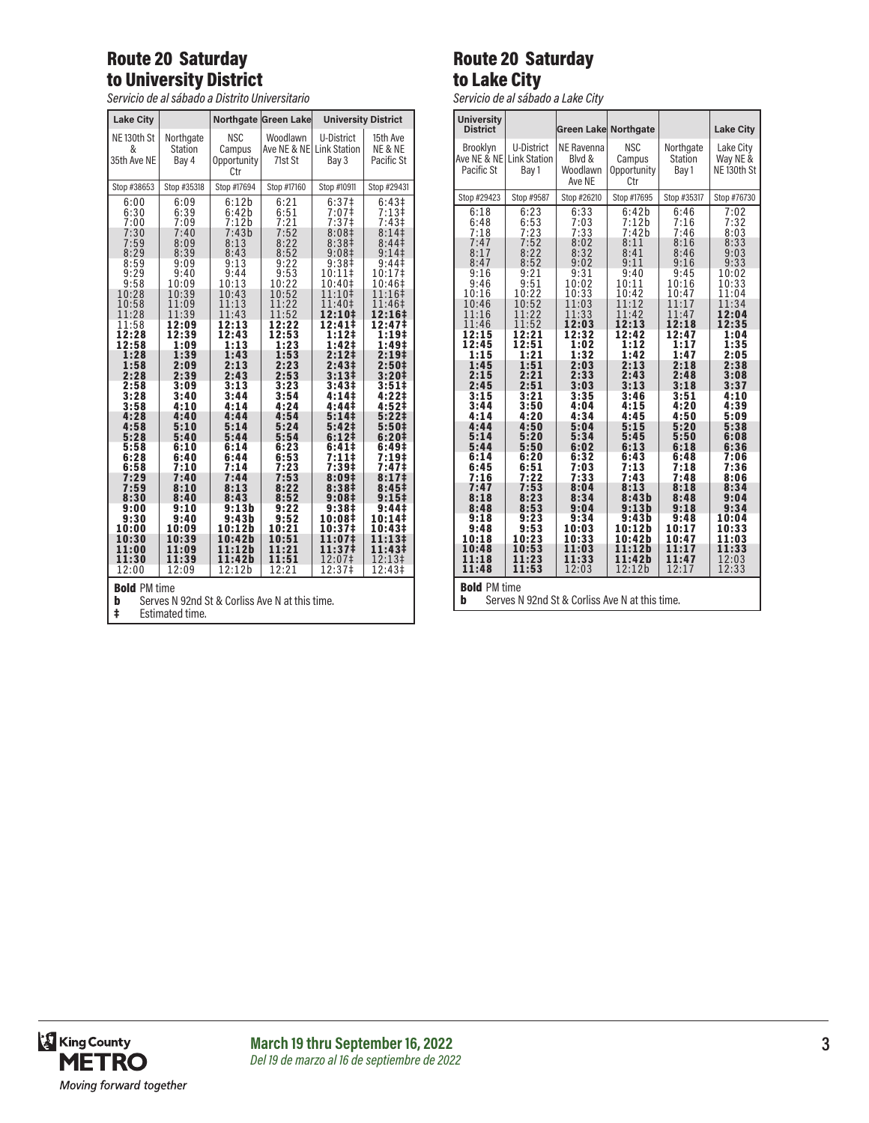# Route 20 Saturday to University District

*Servicio de al sábado a Distrito Universitario*

| <b>Lake City</b>                                                           |                                      | <b>Northgate</b>                           | <b>Green Lake</b>                  | <b>University District</b>                 |                                   |
|----------------------------------------------------------------------------|--------------------------------------|--------------------------------------------|------------------------------------|--------------------------------------------|-----------------------------------|
| NE <sub>130th</sub> St<br>&<br>35th Ave NE                                 | Northgate<br><b>Station</b><br>Bav 4 | <b>NSC</b><br>Campus<br>Opportunity<br>Ctr | Woodlawn<br>Ave NE & NE<br>71st St | U-District<br><b>Link Station</b><br>Bay 3 | 15th Ave<br>NE & NE<br>Pacific St |
| Stop #38653                                                                | Stop #35318                          | Stop #17694                                | Stop #17160                        | Stop #10911                                | Stop #29431                       |
| 6:00                                                                       | 6:09                                 | 6:12b                                      | 6:21                               | 6:37 <sup>‡</sup>                          | 6:43 <sup>‡</sup>                 |
| 6:30                                                                       | 6:39                                 | 6:42b                                      | 6:51                               | 7:07‡                                      | $7:13+$                           |
| 7:00                                                                       | 7:09                                 | 7:12b                                      | 7:21                               | 7:37 <sup>‡</sup>                          | 7:43 <sup>‡</sup>                 |
| 7:30                                                                       | 7:40                                 | 7:43b                                      | 7:52                               | 8:08 <sup>‡</sup>                          | 8:141                             |
| 7:59                                                                       | 8:09                                 | 8:13                                       | 8:22                               | 8:38 <sup>‡</sup>                          | 8:44 <sup>‡</sup>                 |
| 8:29                                                                       | 8:39                                 | 8:43                                       | 8:52                               | 9:08 <sup>‡</sup>                          | 9:14                              |
| 8:59                                                                       | 9:09                                 | 9:13                                       | 9:22                               | 9:38 <sup>‡</sup>                          | $9:44 \ddagger$                   |
| 9:29                                                                       | 9:40                                 | 9:44                                       | 9:53                               | $10:11$ ‡                                  | 10:17‡                            |
| 9:58                                                                       | 10:09                                | 10:13                                      | 10:22                              | 10:40‡                                     | 10:46‡                            |
| 10:28                                                                      | 10:39                                | 10:43                                      | 10:52                              | 11:10‡                                     | 11:16‡                            |
| 10:58                                                                      | 11:09                                | 11:13                                      | 11:22                              | 11:40‡                                     | 11:46‡                            |
| 11:28                                                                      | 11:39                                | 11:43                                      | 11:52                              | 12:10‡                                     | 12:16‡                            |
| 11:58                                                                      | 12:09                                | 12:13                                      | 12:22                              | 12:41‡                                     | 12:47‡                            |
| 12:28                                                                      | 12:39                                | 12:43                                      | 12:53                              | 1:12‡                                      | 1:19‡                             |
| 12:58                                                                      | 1:09                                 | 1:13                                       | 1:23                               | 1:42‡                                      | 1:49‡                             |
| 1:28                                                                       | 1:39                                 | 1:43                                       | 1:53                               | 2:12 <sup>‡</sup>                          | 2:19‡                             |
| 1:58                                                                       | 2:09                                 | 2:13                                       | 2:23                               | 2:43 <sup>‡</sup>                          | 2:50 <sup>‡</sup>                 |
| 2:28                                                                       | 2:39                                 | 2:43                                       | 2:53                               | 3:13#                                      | 3:20#                             |
| 2:58                                                                       | 3:09                                 | 3:13                                       | 3:23                               | 3:43 <sup>‡</sup>                          | 3:51‡                             |
| 3:28                                                                       | 3:40                                 | 3:44                                       | 3:54                               | 4:14‡                                      | 4:22‡                             |
| 3:58                                                                       | 4:10                                 | 4:14                                       | 4:24                               | 4:44‡                                      | 4:52 <sup>‡</sup>                 |
| 4:28                                                                       | 4:40                                 | 4:44                                       | 4:54                               | 5:14‡                                      | $5:22 \;$                         |
| 4:58                                                                       | 5:10                                 | 5:14                                       | 5:24                               | 5:42 <sup>‡</sup>                          | 5:50 <sup>‡</sup>                 |
| 5:28                                                                       | 5:40                                 | 5:44                                       | 5:54                               | 6:121                                      | 6:201                             |
| 5:58                                                                       | 6:10                                 | 6:14                                       | 6:23                               | 6:41‡                                      | 6:49#                             |
| 6:28                                                                       | 6:40                                 | 6:44                                       | 6:53                               | 7:11‡                                      | 7:19‡                             |
| 6:58                                                                       | 7:10                                 | 7:14                                       | 7:23                               | 7:39‡                                      | 7:47‡                             |
| 7:29                                                                       | 7:40                                 | 7:44                                       | 7:53                               | 8:09‡                                      | 8:17‡                             |
| 7:59                                                                       | 8:10                                 | 8:13                                       | 8:22                               | 8:38‡                                      | 8:45‡                             |
| 8:30                                                                       | 8:40                                 | 8:43                                       | 8:52                               | $9:08\pm$                                  | 9:15#                             |
| 9:00                                                                       | 9:10                                 | 9:13b                                      | 9:22                               | 9:38‡                                      | 9:44‡                             |
| 9:30                                                                       | 9:40                                 | 9:43b                                      | 9:52                               | 10:08‡                                     | 10:14‡                            |
| 10:00                                                                      | 10:09                                | 10:12b                                     | 10:21                              | 10:37‡                                     | 10:43‡                            |
| 10:30                                                                      | 10:39                                | 10:42b                                     | 10:51                              | 11:07‡                                     | 11:13‡                            |
| 11:00                                                                      | 11:09                                | 11:12b                                     | 11:21                              | 11:37‡                                     | 11:43‡                            |
| 11:30                                                                      | 11:39                                | 11:42b                                     | 11:51                              | 12:07‡                                     | 12:13‡                            |
| 12:00                                                                      | 12:09                                | 12:12b                                     | 12:21                              | 12:37‡                                     | 12:43‡                            |
| <b>Bold PM time</b><br>Serves N 92nd St & Corliss Ave N at this time.<br>b |                                      |                                            |                                    |                                            |                                   |

#### Route 20 Saturday to Lake City

*Servicio de al sábado a Lake City*

| <b>University</b><br><b>District</b>                                                                                                                                                                                                                                                          |                                                                                                                                                                                                                                                                                               | Green Lake Northgate                                                                                                                                                                                                                                                                           |                                                                                                                                                                                                                                                                                                          |                                                                                                                                                                                                                                                                                                | <b>Lake City</b>                                                                                                                                                                                                                                                                                |
|-----------------------------------------------------------------------------------------------------------------------------------------------------------------------------------------------------------------------------------------------------------------------------------------------|-----------------------------------------------------------------------------------------------------------------------------------------------------------------------------------------------------------------------------------------------------------------------------------------------|------------------------------------------------------------------------------------------------------------------------------------------------------------------------------------------------------------------------------------------------------------------------------------------------|----------------------------------------------------------------------------------------------------------------------------------------------------------------------------------------------------------------------------------------------------------------------------------------------------------|------------------------------------------------------------------------------------------------------------------------------------------------------------------------------------------------------------------------------------------------------------------------------------------------|-------------------------------------------------------------------------------------------------------------------------------------------------------------------------------------------------------------------------------------------------------------------------------------------------|
| Brooklyn<br>Ave NE & NE<br>Pacific St                                                                                                                                                                                                                                                         | U-District<br><b>Link Station</b><br>Bay 1                                                                                                                                                                                                                                                    | NE Ravenna<br>Blvd &<br>Woodlawn<br>Ave NE                                                                                                                                                                                                                                                     | <b>NSC</b><br>Campus<br>Opportunity<br>Ctr                                                                                                                                                                                                                                                               | Northgate<br><b>Station</b><br>Bay 1                                                                                                                                                                                                                                                           | Lake City<br>Way NE &<br>NE <sub>130th</sub> St                                                                                                                                                                                                                                                 |
| Stop #29423                                                                                                                                                                                                                                                                                   | Stop #9587                                                                                                                                                                                                                                                                                    | Stop #26210                                                                                                                                                                                                                                                                                    | Stop #17695                                                                                                                                                                                                                                                                                              | Stop #35317                                                                                                                                                                                                                                                                                    | Stop #76730                                                                                                                                                                                                                                                                                     |
| 6:18<br>6:48<br>7:18<br>7:47<br>8:17<br>8:47<br>9:16<br>9:46<br>10:16<br>10:46<br>11:16<br>11:46<br>12:15<br>12:45<br>1:15<br>1:45<br>2:15<br>2:45<br>3:15<br>3:44<br>4:14<br>4:44<br>5:14<br>5:44<br>6:14<br>6:45<br>7:16<br>7:47<br>8:18<br>8:48<br>9:18<br>9:48<br>10:18<br>10:48<br>11:18 | 6:23<br>6:53<br>7:23<br>7:52<br>8:22<br>8:52<br>9:21<br>9:51<br>10:22<br>10:52<br>11:22<br>11:52<br>12:21<br>12:51<br>1:21<br>1:51<br>2:21<br>2:51<br>3:21<br>3:50<br>4:20<br>4:50<br>5:20<br>5:50<br>6:20<br>6:51<br>7:22<br>7:53<br>8:23<br>8:53<br>9:23<br>9:53<br>10:23<br>10:53<br>11:23 | 6:33<br>7:03<br>7:33<br>8:02<br>8:32<br>9:02<br>9:31<br>10:02<br>10:33<br>11:03<br>11:33<br>12:03<br>12:32<br>1:02<br>1:32<br>2:03<br>2:33<br>3:03<br>3:35<br>4:04<br>4:34<br>5:04<br>5:34<br>6:02<br>6:32<br>7:03<br>7:33<br>8:04<br>8:34<br>9:04<br>9:34<br>10:03<br>10:33<br>11:03<br>11:33 | 6:42b<br>7:12b<br>7:42b<br>8:11<br>8:41<br>9:11<br>9:40<br>10:11<br>10:42<br>11:12<br>11:42<br>12:13<br>12:42<br>1:12<br>1:42<br>2:13<br>2:43<br>3:13<br>3:46<br>4:15<br>4:45<br>5:15<br>5:45<br>6:13<br>6:43<br>7:13<br>7:43<br>8:13<br>8:43b<br>9:13b<br>9:43b<br>10:12b<br>10:42b<br>11:12b<br>11:42b | 6:46<br>7:16<br>7:46<br>8:16<br>8:46<br>9:16<br>9:45<br>10:16<br>10:47<br>11:17<br>11:47<br>12:18<br>12:47<br>1:17<br>1:47<br>2:18<br>2:48<br>3:18<br>3:51<br>4:20<br>4:50<br>5:20<br>5:50<br>6:18<br>6:48<br>7:18<br>7:48<br>8:18<br>8:48<br>9:18<br>9:48<br>10:17<br>10:47<br>11:17<br>11:47 | 7:02<br>7:32<br>8:03<br>8:33<br>9:03<br>9:33<br>10:02<br>10:33<br>11:04<br>11:34<br>12:04<br>12:35<br>1:04<br>1:35<br>2:05<br>2:38<br>3:08<br>3:37<br>4:10<br>4:39<br>5:09<br>5:38<br>6:08<br>6:36<br>7:06<br>7:36<br>8:06<br>8:34<br>9:04<br>9:34<br>10:04<br>10:33<br>11:03<br>11:33<br>12:03 |
| 11:48<br>11:53<br>12:03<br>12:12b<br>12:33<br>12:17<br><b>Bold PM time</b>                                                                                                                                                                                                                    |                                                                                                                                                                                                                                                                                               |                                                                                                                                                                                                                                                                                                |                                                                                                                                                                                                                                                                                                          |                                                                                                                                                                                                                                                                                                |                                                                                                                                                                                                                                                                                                 |

‡ Estimated time.

**b** Serves N 92nd St & Corliss Ave N at this time.